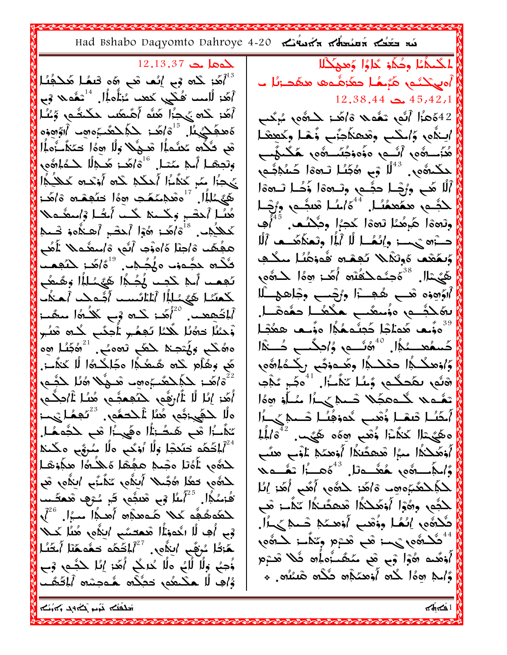Had Bshabo Daqyomto Dahroye 4-20 لمكتملا وحُكَّو كَاوُا وَمَدِكْلًا <u>لمعمل کی 12.13.37</u> لَّكَمْ كُلُّه فِي إِنَّفْ هُي رَبَّهِ قَبْضًا هَكُمْتُوَمُّا  $l$ آەيگشە ھۇلگىل دىگزشەھ ھەگدىنلا ب أَهَٰذِ لَٰٓامِب فُكْبِي كَعْب مُٰٓ:أُهلًٰٖال أَسْفُه ﴿ وَبِي  $12.38.44$  محد $45.42.1$ أَهُدَ كَلَّهُ يَحِبُّلُّ هُنَّهُ أَهَّمَعُكَ حَكْمَتُـمٍ وَّعُـٰلُّ<br>هُمدَهَكَـٰبُـُل أَنَّهُ/هَـٰ: ـلـكِلْملحَقَــبَوهِت ٱرَّةٍهِوَةٍ<br>هُـنَّ فَكُلِّهِ عَدْتَـمِلُّهُ هُولُمْ وَلَا هِهُمْ فَعَدَّقَــزُوجُلُهُ 42هَ أَلَّهِ تَعْمَلا ةَ/هُـ: لَحَدُّهِ, يُرِكَب ابِنَاهِي وَاسْكَبِ وِهْھَٰكُاجِنَبِ زُهْلِ وِكَعِنْقَالِ هُنَ ــــوَّى أَنْــــو وَوَدِّنَـــوَّى هَكْــوَّــــ وَتَجِّهْا أَجْ مَيْتِال "ةَاهَدْ هَجْلًا جَدْءُاهُو لِمَكْتُوهُمْ.  $\mathring{\mathbb{I}}^4$  وَجِ هُجُنُـل نَـهةَ الصَّلَاجُـمِ يَجِبُوا مَيْرِ كَنِكُمْوَا أَحِكْمِ كَلَّهِ أَوْتَدِهِ كَحِكْبُوا ٱلْا هَٰٓ ورُجْـا حثِّـهِ ونَـهةا ذَكَٰـا نَـهةا لَّكَيُمُلَلُّالِ <sup>17</sup>هُدْمُمَّمَّد ١٥٥٩ حَكْمِعْـ ٢٥٥ دُامَّـ: لجُبَ مِمَعْمُنُا لَهُ السَّا مُعبُّمٍ ورُضًا هُنُا ٱحصْحِ وكُمحَة كُما ٱلصُّا وۡاسفُـدهَا وِتْ169 هَٰبِهُمْا تَـْ169 كَجِرًا وِجُكْـُـْف يَـ أَ $\ell$ ُّفِ لَمَحْلِيُمِ الْمَاهَدِ هُوَا أَحْضَرِ أَهِنْدُوو ضَـٰجَ حَسَنَ؟ وَإِنَّكَمَا لَا أَبْلَا وِتَعَكَاهَمَا أَلَّا هِجُمًا وْإِجْلَا هُاهِ وْبَ أَنَّهِ وْاسْعُدْهَا لَأْهُلِ وَبِمَعْمٍ هُوتَنْدِيا يُجِمْسُ فُووَعُنَا سِكْتِ ثَلْـُـهِ بِجُـُـهٖف ه هُجُــكِ بِـ أَهُ ٱهٗــز ۖ ثَلَيْجِــفَ هَيْمَال أَهْمِنُـمكْفُتُم أُهُـز هِهُا كَــرْهُم تَجْعَبُ أَجْمَ حَجَبَ يُجُجُّا هَيَّجُلُمُ وَهُبِعُب أَاؤَوِهِ وَ هُبِ هُجِسْ أَوْرَضَبِ وِجْلِعِهِمْ الْمَا لْحَمَّتُمْ الْمُهْرَامُ الْمَائِسِينَ أَجْتَدَتْ أَحْتَمَتْ ۔<br>آبادُھِعـــ ( آوُ اُهُــز کــــــرو قِــب کلاَـــروٰ) مــمعُـــز بەَ كَجْسە ووُسْعَي مْكْعُسَا جَفْوَهْسَا.  $^3$ وَدُها مَّومَاجَا حُجِئُوهُمُّا وَدُها مَعْشَا وْحْتُا حَمَّلًا مَّكْتَا تَجَعُبِ لْأُجِئَبِ ۖ كُنَّهُ مَّتُبِ حَسمُعـــمُمَّ المُشَمَّى وَاحِكَـــــم صُـــٰهَ ا  $\sim$ وهُ $\sim$ با مَعْبِ  $\sim$ وههنگ مَسَمر مَنْ اللَّه مِنْ  $\sim$ هها وَاوْهِكُجَا حَكَـــجَا وِهُــوفِهَم رِكْــهَافَهَم هَٰی وَهُأَم حَده هُـعُـٰٰہُ! هَجَالَحُـهُ! لَٰا حُذَٰلَـٰٓ. هَنَّى تَمُحكُبِ وُسُلِّ *تَ*مُّتُرَالٍ <sup>41</sup>َمِّجْمِ تَ<u>مْ</u>جُب كَمْ كَمُكْشَبِّوهِ وَسَيْحَةُ الْمَارِكُمْ كَمَّدٍ $\delta^{22}$ أَهَٰذِ إِنَّا لَٰا غَٰٱرِفَٰٓى حَنَّحِمَّتُـى هُنُـا غَٱ/حِكْـمِ تَعْدِيهِ كَدْدَهُمْ تَسْمَعُ مِنْ السُلَوْ وَذَا نَّسِنَ لَـٰهُمِنَّ ۚ . رَمَهْطَكَ لَهُ لَهُ رَمَّ بَرِهِكَ لَلْه أَحَنُـا ثَنفَـا ذُهَب خُوفِقُـا شَــٰهِ ﴾ تَمَّــزُا مَّـ هَـمُــُّـزَٰٰٓاْ هِ هَيْـزُا مَّـع لِحَجْمَـهُــا. لِمَاءَ أَمْسَرْتُهُ وَهْمٍ وَهُوَ الْمَثْمَةُ الْمَرْيَةُ و لْمُحَكَّد حَكَّدَا وَلَا اُوْكَبِ وَلَا مُرْوَّى مَكْتَكَ $\int^{24}$ أَوْهَٰلاَۃُا مبْرا شَھتُنڈا أَوْهمَٰہِ لَاوْبِ هنّب َلْحَدُّهِ ۚ أَدُنَا وَجَبُّ عَجُّعًا مُكْثُرُ مِجَّذِهَا ۖ وَالْمَاتِ وَهُ مَعْدُدَا لَقَصَدُ الْمَصَدُدُ مِنْ الْمَسْمَلَاتِ لحَقَّى حَمَّا هُجَىلا أَيْثَمَى تَذَبَّى ايْثُمَنَ هُوَ للَّهُلْعَثَبُوهِ وَأَهُدَ لَهُ وَوَ أَهُدٍ أَهْدٍ إِنَّا َقُرْسُجُال <sup>25</sup>أَسُلُ فِي هُنَّفِي فَرِ سُوْفٍ هُنْ مُنْ الْمَسْتَمْسِينَ مِنْ الْمَسْتَمْسِينَ مِنْ مَسْتَمْس َكْجُمٍ , وَهُوْا أَوْهَكَكُمَا هُمْكَتَكُمَا تَكُبَ هُج لاَ مَعْدِهُمْ مَعْدًا مَدْمَ مِنْ الْمَدْمَ مِنْ الْمَدْمَ مِنْ الْمَدْمَ مِنْ الْمَدْمَ مِنْ الْمَ كَلَّوْهِ إِنْعًا وَوُقْبٍ أَوْهِمَهِ كَسْهِ كِلَّالٍ وْجِ أُڢْ لَا انْدَوْنَٰاْ! شَعْصَتُبِ اٰبَدُّی مُنْا کَــلًا مَعْدُوْهِ رَبِّ عَظَّرْهِ وَجَدَّا لِمَدَّوْهِ مِنْ الْمَسْرَمِنْ وَهُوَ مَّرْفُا مُرْقَى ابْلاَى  $\ell^2$ ْ، مَكْمَد نَحْدَمْنَا أَمْقُلْ أَوْهُده هُوْا وْمِ هُمْ مُنْصُّدُوماُه فُلًّا هُدْم ؤُجِبُ وَلَا لِّكَ وَلَا كُدِكُمْ أُهُوَ إِنَّا كَجُّمٍ ۚ وَبِ وُمْلِهِ مِمَّا لَكُمْ أَوْهَكُمْ مَا صَّلُمْ هَمْنُو . وُّافِ لَّا هكْتَمُو حَجَّلَاه هُـوجِسْهِ ٱلْمَخَفَّ تحنابهم لروش سهذ تنفلض لا مكتم ا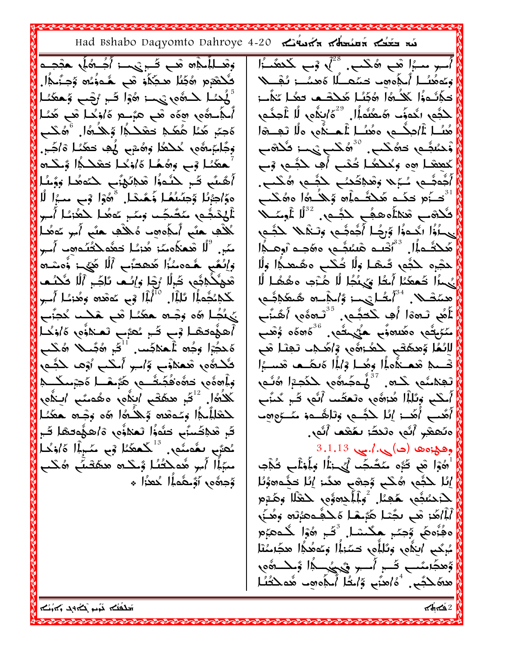## Had Bshabo Daqyomto Dahroye 4-20

وَهْـالمُالِمْ0 هَــ تَــرِيْنِــز أَجُـــ0هُ) حَبْحَـــه كَلْثَمْمِ هُكِنًا مِلْكِلُو هُي هُـووُّنُه وُسِنَّكِلًا. لَّـٰهُمّا لِــٰهُمْ الْمَعْ الْمَعْ الْمَعْ وَهُمْ النَّمْلُ أَـجَمْــوَّى وَوَىٰ مَّـــوں وَاوَخِّــاً مَــوں مَنْــا<br>وَجِبَرٍ مَحْـًا هُمَّــمِ حَمْدَــجُل وَجِـدُوا وَ هُــدَـــوا وَجَامَ ِدَهُوں مُحْمَدًا وَهُمْ مِ هُدِ حَمَدًا هَ/جَمْ. حطَنُا وْبِ وِرَهُمُا هَ/وْحُا حَقْلَهُ! وُكْتُ أَهُسَّ ثَـبِ حَلُّدَوُّا هَجْنَهُنَّے حَتَّدَهُـا وَوَّسُّا دوَّاجِيُّلُا وَجِنَّىنُهُ لِمَّمْشَا. <sup>8</sup>ھُوْا وَبِي مِبْرَا لُل تْلْهُدْشُمِ مَحْشَصًا وَمَّخْ مَاهُمَا لَحْقُرْمًا أَصْبِر لْمَلْفِ هِنَّعِ أَلْجُوهِمْ وُلِكُفٍ هِنَّعِ أَمِرٍ مُوهُمْ مَبْرٍ. <sup>9</sup>لًا شَعَذَهُمَنَ هُز*ئ*ا حَقَّهِ لِأَصَّلُوهِ ﴾ أُسِرِ وَإِنْعُهِ هُـ20مُزًا هُـ20مَّ إِلَّا هُيْءَ وُّ2مَـ3 شَهْكُلِّكُمْ تَجِرُلُا رُجْا وَإِنْـمَا تَاجَـ ۚ أَلَّا تَكْتُـم<br>ـكْلاِنْجُمارُا تَالِمُا بِ<sup>10</sup>ُمُا وَجِ خَوْهُ وَهُدْنَـا أَسْـرِ يُهُدُا 6ه وجُـ هه معَمَّا هَـ هَــْــ مُحبَّب آهؤُودها في تُم نُعبَّب لَعنَهُ وَاوْخُـاً<br>وَحَجَّدًا وَجُمَّ الْحَمْدُـــ <sup>آل</sup>َمَ مُحَـــلا مُحْـــ تُكْتُفُوا شَعَدْنُو وَّاسِرِ أَمْكَنِ اُوْفَ كَثِيْفَ وأهدُّه مَ السُّمُونَ مُشَرِّسُهُ الْمُجْمَعَةَ مَنْ الْمُجْمَعَةَ مِنْ الْمُجْمَعَةَ لِكُمُاً.  $^2$ يُّ مِمْعُمْ النِلُه وهُمسُ النِلُه  $\mathcal{S}^1$ لِحْقَلِلُبِمَا وَعُـٰدُوه وَجَلَابُهُا وَهُ وَجْـِدِ حَقَّعُـٰا كُرِ هُدِكَسَنَى حَثَوْاً تَعَدَوْهِ، وَاهِجُوحَهَا كَبِرِ  $\mathbf{A}$ مُعَبِّى مِعْمَدِّى  $\mathbf{A}^{13}$ ، مِمْمَثَلاً فِي مَمْبِهِ $\mathbf{A}$  هَ مبَإِباْ أُبِرِ هُدَكْتُنَا وُحْكُمْ هَهُكُثٌّ هُكُب وُجِدُّهِ أَوُّحِفُواْ لَكُعْزَا ﴾

اُمبو میزا تھے ہُگلے. <sup>28</sup>ل قوے گلگنڈا وَعَمَعُنَــا أَــكُموم حَـمَّـصــاًا هَعنىــ: نُـفّـــــلا حَكِّلُـهوُا لَكُــرُهُا رَهُجُبُـل مُحَكَّــم حَمَّـل تَـٰهُـــز لِحَجُمِ رِنُدوَوَ ۖ وَمَعُثَمُٱل ۚ وَ ۚ وَلَا يَقُومِ ۖ إِلَّا غَاجِئُمِ ۖ وَعُمَدٍ ۖ وَعَلَّمَ لَ مُسَــاً أَامِكُـــى ممُسَــاً أَـــــتَّامِ وَلَا تَـمِــــوَا<br>وَحْسُفَــم حَمُّكـــم مَّـــم تَـــوَـــوَا مَـــوَا مَـــوَا<br>كِمِيشِــا مِه وَحُـلاَهُــا تُحْب أَبِ لِــدَّــى وَب أُجُهجُـــم ـُــَمْ × وَهُدْخُمْــم ــحَجَــم ۖ هُكَـــم ـ َحَذُهِ حَكَمٍ هَٰلِكُماْهِ وَكُلُّهُ الْمَهُلُمِّيَّةَ  $\stackrel{3}{\sim}$ فَكْرُهُبِ هُٰكِلُمُحَفِّي كَثُبِهِ.  $\mathbb{I}^3$  نُوسًى حِمَاُوَّا انْحَـٰوَاْ وَّرِجُـا أَجَّٰوَجُــٰ وَتَـٰذَلا ۖ حَجَّـٰهِ ۖ أَهُكْتُـمِلًا. فَٱنْصَـٰهِ هَسُبَّـٰهِ وَهَجـِهِ ٱوصـِهَٰا َحْجَرِه ۖ حَجَّمٍ ۖ تَـُهَـا وَلَّا تُـكَّبِ هِقَـٰعَـٰهِۚ! وَلَّا لَّا لَمُعْدُم مَا أَجْنَرِيَ لَمَا أَمْنَ الْمَعَا أَمِنْ همَّصْلا.  $\int_0^{34}$ نصُانَ مِن وَٱلْمِنْدِهِ هَلِمَحْدِثَوْلِ سست .<br>لَمُعْ تَـهِوْا أُفِ كَـُحَجَّـهِ . <sup>35</sup>تَـهُوْهِ أَهُـنَّـبَ<br>مَنَّىخُف وهُنهنَّـ هَيُّحِجُّف . <sup>36</sup>هُوَه وُهْب لِلَهُا وَمِمْعُتُبِ لِحَمَّـ;هُو وَاهُــدِ نَعِنَـا مَــ كَـــمِهِ هُـمــٰدُّهلُما وَهُــا وَهٰلُما هَـمَــم هَـــــُما ِ<br>مِشْمَا مِنْكَمَ مِعْمَٰوْهِ مِنْ مِنْكُمِيْنَ مِنْ مِنْقَالِ مِنْقَالِ أَسْلَمِ وَلَٰٓاِلَا هُـٰٓ;هُوبِ وتَعتَمَسَ أَنَّوبِ قَـٰٓ, كُنَّنِي أُهُب أُهُــ: إِنَّا لِكَجُّـــمٍ وَتَاهُـــووْ مُنْـــرُوهِـــ وتُعقبر أنَّه وتَدجَّز بمُعْف أَنَّه.  $3.1.13$  رحم:دهه (ح) هاه: أَهُوْا هُي تُبُوء مُخَمِّص ٱلْحِبْلُا وَلَمِثْلَى تُذْكِر إِنَّا لِكُبُّمِ ۖ شُكْعٍ وُجِشْعٍ مَكَّنَ إِنَّا حَكَّمَ وَوُنُا ۖ لِأَحْسُبُهِ هُجِبًا, <sup>2</sup>َوِلْمُ ذَوتَوْهِ لِأَهْلَا وَهُـُومِ ٱۦأَٱ مَٰٓ مَـٰٓ مَـٰٓ مَـٰٓ مَـٰٓ مَـٰٓ مَـٰٓ مَـٰٓ مَـٰٓ مَـٰٓ مَـٰٓ مَـٰٓ مَـٰٓ مَـٰٓ مَـٰٓ مَـٰٓ وفُزُومَ وَجِئِرِ مَكْسَالٍ أَكْبِرٍ هُوَا كُلُومَ وَ مُرِكَبٍ ابْذُى وِتَلِلُو، حَسَّرْاً! وَعَوْهُ! هجَامُنْا وَمحْدَسَبَ ثَــِ أَـــِرِ فَيُحِيُحِـدًا وَجَحْــوَّى ههَ كَثِبٌ. \* هُ/هزٌبٍ وَۗالْحُلِّ ٱلۡكَمِهِ وَاللَّهُ الْمَعْلَمُكُمُـٰا

تلنابه بالمتلكم سأم تلفظة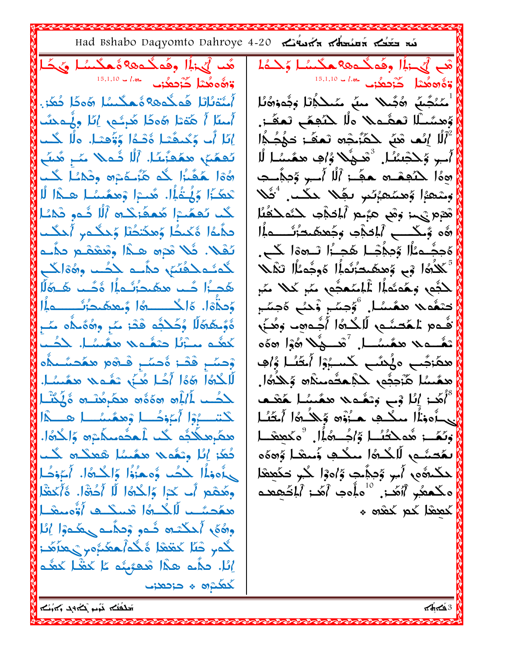Had Bshabo Daqyomto Dahroye 4-20 هُم أَيْنَ أَوْ وَهُدَهُ هُدَ الْمُسْلَمَ وَحَدْمًا هُد أَيْنَ أَلَّ وَقَوْلُهُ مَعْلَمَةً مِنْ الْجَهَدُ وَيَجَدُ  $15.1.10 - 1.84$  $15.1.10 \pm 7.84$ وَهُوهُدًا كُرْدِهُنَا أَمْتَالْلَ هُمِنْدُه؟ ةُ هِنْسُلْ هُوَدًا ضُغَرْ. أَسُنُجُسُ ۞جُىلا مِنٌ سَيْنَكُمُٱلْ وَجُووَ۞نُا وَحَسَّىلًا تَعفُّمَلا هلًا لِكَجْعَى تَعَفَّ; أَسلاً أَ هَٰذَتَا هَٰوَكَا هُدِئُـمٍ إِنَّا وِلْمِحْسَنَ أَلْلَ إنْكَ هْنَى حْجَنْحْجَرْ نْحْقَة حَكْجُجًّا إِنَا أَبِ وَكُنْفَتْنَا ةَتْتَدَا وَوَّقْتَا. وَلَا نَكْتَ تَعمّنَ ممَعَيّنًا. أَلَّا شُملا سًا مُنبّ أَسِرِ وَكَجْسُلًا, ۚ ثَ*كَـوْنُلا وُا*َفِ مَعُـَـسًا لُل هُهْ الْمَقَّبَٰ اللَّٰہِ هَٰٓئِمَـٰمَةِ وَهْمُـٰا لَّکُـٰب هِهُا كَتَجَعْدِهِ حَجَّةِ ٱلْأَلَّابِ وَجَدَّسَتِ تَعَكَّرُا وَيُتَقُلُّا. هُنْتُوا وْهِمُسْنَا هِـذَا لَٰا وَسْعَةًا وَهَمُعَةً تَصْرَفُ لَيْفًا لِمَكْتَبٍ \* ثَقَلا كُما تَعَمَّمْ الْأَهْجَادُ مِنْ اللَّهُ فَي ذَلِمَهُ ا مْعْرَمِ يَهِمْ وَهْمٍ مَبْرِهِ أَلْمُحَدَّبِ حَدَّهَ حَدَّمُلًا مِلَمُا أَكْبِطُا وَمِكْتَظُا وَجِحْجِرٍ أَجِكْتَ تَفَلا. قُلا مْدِه هـدًا ومْعْقَد مأسه ەَججَّــوْمُلَّا وِّجِجْجَــا ھَجــزَا تَـــوە كَـــى <sup>5</sup> لَلاُهُا <sup>ف</sup>َى وَحد*َّمُ*حَنُوْ اُلَّا هُوجُوعُ*اْ* لَن*ْلُم*َلا كُوئُوكُمُرَ، مِثَمِّد لِكُس وِرُوَالِكُمْ هَجِزًا حُب مِعْمَدُرْتُواً وَجُب هَـهُ الْمَ بمْه كُلَّاءَ مِعْمَدُا أَعْلَمَتُمْهِمْ مِمْ لَا لَهُ مَمْ .<br>حِتْعُد*ْلا* مَعْسُلْ ۚ وُحِسَٰٓ وَْحَبُّ هُحِسَّۃٍ وَحِدَّةَ الْكَلّْمِينَ وَعَدَهُ حَزَّبٌ وَالْمُسْتَرَبَّسَ وَإِذَا ُقُومِ لَمُصَنَّعِ لَائِكُوا أَجُّوهِ وَهُنَّى ةُوُمطَةُلًا وُكُلْبُه قَدْ: مَبْرٍ وَ7ُوُلُمُ مَمْرٍ  $\sim$ مْده $\alpha$  مْغَسُلْ  $\sim$ قْدِيْدْ هُوْا هَوْهَ كَعْدَ سَنْرُبُلْ حَتَقَدِيهِ مَعْسَلِ الْحُبَ وْحِسَّا فْخْسْ فْتْ وْ هُوْمْ مْغُجْسَبْدُه ھكَرْجُبِ وَيُحْتَبِ لَكْسِبُوْا أَمْثَلًا وُافِ لَاكْتُوا قَوْا أَجْلَ هُنَّى تَعْبَدُ مِعْسَلًا. ھىمَسُل ھَٰٓ;ججُم كِجْمعُتُمنكُ(۞ وَجِلَاهُ). لِحُصُبِ لَمَالِهُ 3000 مِحَمَّرِهُنْـ 3 \$ كُنْـا أَهَد: إِنَا فِي وَيَعْدِيهِ مِعْيِسًا هَقْتُ كتنبوا أعودكم ومعسل مكا بِ أَوذِاْ مِكْتِ حَزْوْهِ وَكُلُّهَ أَمْقَلُهِ وَتَمَّــ: شَمحْتُنُــا وَّاجُـــرَّهُ!ُ.  $^{\circ}$ مكعِنْــا معَرمِيلَادُهِ كَبِ أَحْدُمِيلَاءِ وَالْحُوَا. ئُعَةِ إِمَّا وَيَغْمِلا مِعْسَلِ تَقْعَلُهُ لَكَ بَعْضِيْبِ لَلْكُنُوا سِكْبٍ وَُسِيْدًا وَهُوَهِ لْمَكْتَوْهِ أَبِرٍ وُمِكْتِمٍ وُاهْوَا لَكُبْرِ حَكَمِيْقَا جِدُّهِ وَأَمَّا حَكُبٍ وُهِ هُزُوًّا وَالْحَكَّةُ!. أَجَوْهُمْ مكمعُبُو أَأهُدَ. <sup>10</sup>مأُوبُ أَهَدَ أَباكَـٰهِعَمـٰه وهُدْمَعِ أَبِ كَدَا وَاجْدَهُا لَا أَحُرْثَا. هُ/َكَمَعْا محَصِّب لَا كُنْ هَا شَيْنَكُنْ أَوُّەتْمَشْتَارْ |مُعضَل مُع مُعْده \* وهُمَّى أَحْكَمَهِ شَدْوٍ وْحِذَّبَ حَمَّدَوْا إِثْلَ لَّكُمْ شَمَّا كَعَفْعًا مُكُمْ مَعْدُومٍ يَحْدُقُتْ: إِنَّا. حَدَّءَ هَذَا مُحَبَّبُه يَا كَمَّا كَعْدَ مُعَكِّرُه \* حَاصَّفْ محنافهم بالمغترب وأعلمته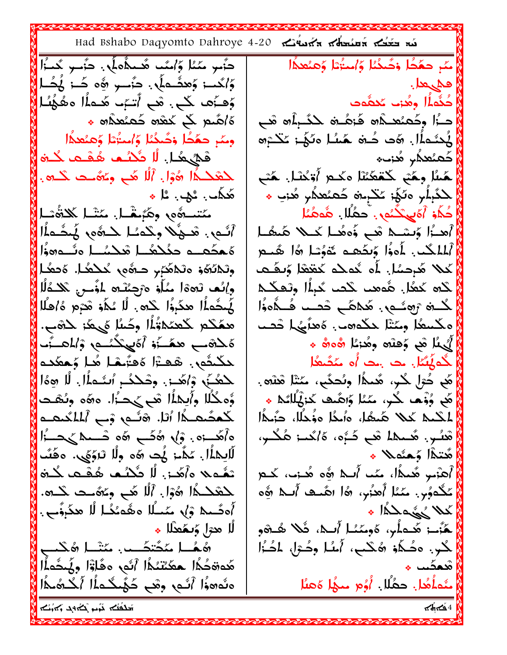Had Bshabo Daqyomto Dahroye 4-20 دَّىبِ مَمْا وَٱمْمَد هُـمِدُّهلٌ . دَّىبِ كَمَـٰٓا مِّم حمَّحًا وَحَبَّنَا وَاسْتُهَا وَهِنُعِدًا وَٱكۡمَـٰٓ وَهَدۡـُـٰهِ ۖ دَٰٓ ۖ دِ ۖ وَہٖ صَـٰٓ ۖ وَٰٓ صَٰلَٰہُ ۖ ا والصرمه لْا كُثّْمَلُا وهُزب كَحْقُوب وَْهِـزَٰهِـ كَبِ . هَـبِ أَسْبَـٰ هُـماًا هِهُهُـُـا حنًا وحَمسُه هَزهُــة كَتَــبِلُه مَــ ة امَّىم لَكَ لَحْقَة حَمْئَعِدَاه \* |}نُمْسَماُ!. ۞ت ڪُنه ڪَسُل مَکَنْ: کَنْتَرْ۞ وسًرِ حمَّحًا وَحَسَّنًا وَٱستُنَا وَهنُعِدًا! فْسُهْدا. لا تُنْسُم هُفْت حُدْه <mark>۾</mark> ڪُھنھُر هُنڀ، لحقدلُما هُوْلَ أَلَّا هُبِ وِمُؤَسِّدٍ كُنُو. هَمِنُا وِهَبْنِ كَمْعَكِنْنَا هَكُمْ أَوْخُسًا. هَبْ َ كَثَبَابُو وَنَكِّ; كَثَبِتُو كَعَنْعَكُمْ مُنْتِ ۞ هُكُم، شَهْبٍ. مَّا \* مّتندهُى وهُبُشْها. مَتْها لَلاَةُسْا لْأَهُمَا أَهْلِيَكْتُمِ . ۚ حَمُّلًا . ۚ هُومُنَا أَلُّــهِ . مْحِيْلاً وِكْـدَــُـا كَــدَّةَهِ لَمِحْــدَاْ | أَهْدُا وَتَسْبَطْ هُبِ وَجَعَظْ كَتَبَلَّا جَنَعْهَا ا ة محَمـــه حكْلامُــا مْلِــُسَــا ونُـــەرەوُّا ٱلمَلَكُت. لَمَوْا وَتَصْعَدَ خَوْسًا هَا تَعْبَطِ كَمِلًا هُرِجِسًا. أَو نُدِمَدْ كَعْقَا وَتَقْتَ وِلْلاَنَّةُوْ وَلَلاَهُرُ مِنْ هُومٍ يُحْلِّهُا. وَصَفَّا وإِلَٰهَا تَوَوْدًا مُنَأَوْ وَرُحِنْنَـهِ الْوَّسِرِ ۚ يَكْشُلًا لكته كَتْعَلّْ. هُءَهَبْ لَكْتُبْ كَبِيرًا وتَعَكُّـكُمْ لَمُحْمَلًا مِدَّبِؤًا كَلِّهِ ۚ لَّا مُلَّهِ مَّرَمٍ هُ/عَلَّا لَّكْتُمْ رُهِيَّـمٍ. هَٰكُمَّــ صَّـــ فُــكُمْوَٰا مكسعُا ومَثَا مكَّدهب. هُعَلَّهُا دْعَب همَكُم كَمِنَدْوَٰٓئُمْا وِحَمِّلْ يَهْدَ لِحَقَّ . ەَ كەھب ھكىئۇ أەي كىسى ۋالمھىئە أَيُّهِمَّا مِّعِ وَهِنَّهِ وِهُنَّهُا مُّوَهُّ \* حكْثُمٍ. هُدْرَا هُعَيُّمْا هُا وُحْعَدُه لْحُمْلُمُكُلِّ. ت بنت أو يَمْضُعُلْ لِكْتُبُ وْأَهَدْ: وِصْكُمْ أَتَسْمَأَلَ: لَا هِوَٰا مَّعِ حُوْلِ كُلُو، مَّدَمُّا وِنُحكَبٍ، مَثَلَ مَّتَمَّدٍ. وُهِكْلًا وِأَبِيْلِهَا قُبِيِّ حِدُّا. وَهُوَ وِنُتَّفِت ِّ هُو وُوْها لِكُو، مَثَا وَاهَّتَ كَرْهُلُكَ \* كَعْصُمْ الْمَا، هْنُـْمِ وْبِ ٱلْمُدْعَــْ لمكْنِيهِ كَبْلاً هُبِعُلْ، وَٱبْجُلْ وَذُكْلًا، جَزْنِجُلْ هْلُـر. هُــدها هُـع كُـرُّه، هُ/كُـــ; هُكُــر، لَّابِهِ اُلْ . حَكَّمَ فَي 60 وِلَّا نْآوَى. 50 فَتَ لأهتما وَحدُه الله \* أَهْبَىرِ هُدِدًا، مَن أَبِي هِءَ هُـَـٰ، كَــَمْ تعُـه لا ه أَهَٰــز بِ لَٰل كُـلُـع هُـقَــِ كُــرَه عَكُدوُبٍ. مَعْمًا أَهدُبٍ، هَٰا اهْتِ أَسْلَا هُوَ لِحْقَدْ لِهَ أَوْلَى أَلَّا هُبِ وَيَهُ بِ حَدَهِ. أُهضَـــدا وْلِ مّـنَـــلَا هِـقُهنُـدًا لَّا هكَبِفَــبِ. • المُكمرشُ اللهُ ا َـهَّنُــۃ هَـٰد*َلُو، ہُومننُـل أَنــد، ثُلا هُـــوْو* لًا مدَرًا وَيَعْمَلُا \* هُهُــا مُحَتحَــب. مَتْـَـا هُكْــو لْحُدِ. ٥كُـكُمْ 7ْكُبُ، أَمْنُا وِحُـرَا، لِمُـذُا هَدَهُ الْمَحْمَدُوا أَلَى وَهَاوَٓا وِلَمَحْوَاٰ وَلَمَدَا شمصًب \* دَفْعَهُ الْنَــْمِ وَهْـبِ كَهُـنُكْــْمَاْ الْكُــْهُـْمَاْ ا مْعَاْهُا. حَمُّلًا. أُوُم مِنْهَا هَمْلُا تلنابهم للإنكار بمابذ تلفظة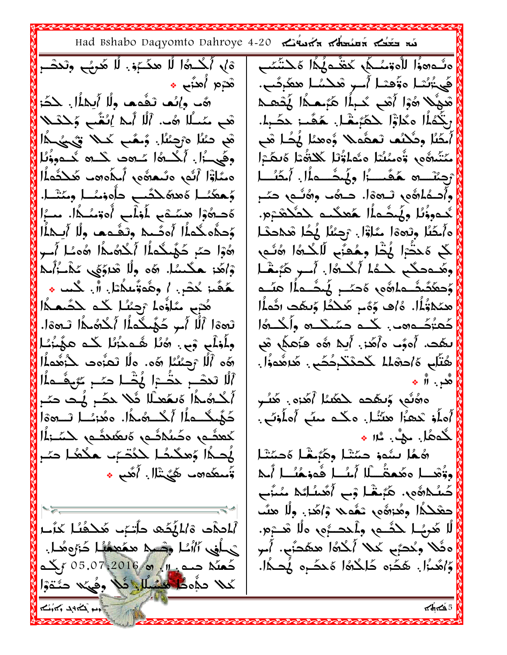Had Bshabo Daqyomto Dahroye 4-20 مَنْ تَسْتَعْمَ بَعْضُهِ Had Bshabo Daqyomto Dahroye 4-20 وَشُورُوا الْوَوْمُكُمْ كَعْثُوكُمْ أَمَكْتُمْبِ ة) } كُــُـهُا لَا هكَــُمِهْ. لَا هُـربُــ وتَـدتَـــرِ مَحْرَم*ِ أُهذَّبِ \** فَي أَنْسًا هَوَّهْمَا أُسِرٍ هُكْسًا هِعْرِضَى. مْدِيْلًا هُوْا أَمْبِ كَـرِياًا هَرَسَــدًا يُحْمـدَ شَا وِإِنَّمَا تَقْمَمُا وِلَّا أَبِكَلَّالِ. حَكَّرَ قْبِ مِنْسُلًا هُ-. ٱلْلهُ أَسْمَا إِنْقُبِ وَحَكْمَلًا رَبُّدُمُّا مَعْلَوْا حَدَّبَهْا. هَقَب: حَضَرا. هْمِ دْمُلْا هْرْجِئْنْا. وْمْصَى كْمْلَا قْلْمِيْهِدْا أَحَنُا وِئَكْنُفَ تَعَقُمَكُ وَّوْهِنَا لَمِكْنَا هُبَ وفَي ألَ أَكْتُهُ السَّنْ هَـ لَكَتْ مُحْدِوْنُا مَتَنُبِهُورٍ وُومِمُتُمْ وَشَاوُّلْ لَكَنُّهُ وَلَعَبُرَا وَلَ مَثَلَوْۤا أَنُّع مَنْعَشُى أَحَدُّوهَا هَٰلِكُمُواْا رْجِنْتَــرَه هَقَـــزُا وِيَهَــْــواْلِ أَمْتُنَــا وَحكَنُــا هَعدَهُكَتَـــح حاهُوْمُــا وِمَتْــا. وأَصْفُلْمُهُم، تَـهةَا. حـهُـ وهُنَّــمِ، حَـُــرِ ەَھەۋا ھىئىقى لەۋلى ، قىئىدا. مىبا لَحدووُنُا وهُبِثَـداًا جَعدُـد للثَلاَثـرْم. وَحِدُّه كُماً أَه صَّحط وِتَفَّمِم ولَّا أَبِــكلُّا هِ أَمِضًا وِتَحِدًا مُنَاوَّاً. ۚ رَجِئْنًا ۖ فُكُمْ شَكَاحَدًا رُّوْا حَمْ حَهُكُماًا أَكْرُمُكاً رُهُمَا اللَّهُ اللَّهُ لَّى مَحتَّةٍ! هُضًّا مِعْعَبَى لَّاحُدهُ! هُنَّى وْاهُدْ هكْسُلْ. هَء وِلْا هْدَوَيْ مَدْخُلُكُمْ وهَـٰدِحكَـٰبِ حَـٰـٰهُۥ أَحْـٰدُهُ١. أَـــرِ هَبُـغْـا وَحعَكَبِثَــماهُوم وَحـَــرٍ لَمَـثَــماُ الْمَــم هَقَىز حُصْرٍ. / وهُوتُسكُتا. أل: حُسب \* هُدْبِ سُلَّؤُه ُ رَحِبُنَا كُـهِ حَصَّـهِـدًا ِ مَكَمْقُلًا. ۚ هُ/َ ۖ وَهُم مَكَـٰهُا وَيَـٰهَٰتَ اثْـَمَلُا نْحَا ٱلْلا ٱس كَهُنْدُمَاْ ٱلْدُهُنَّا تَتَحَادَا. كُمْتُكُدُه، . لَكْتْ حَسَّنْكُلُّهُ وَأَلْكُلُّهُ! وِلُوْلُمٍ وَمِ. هُلَا هُـمِدُرُلَا كُـم عَهُنُّنَـٰا بَيْفَتٍ. أُوفِ وَأَهَدَى أَبِيا هُو فَأَعِجَلِ هُو هُتَل، هَ/حدْما للاحدْنـْ(حُصُو مُعَاهُدُو الله الْمَا ۚ رَجِئْتُنَا ۞ه.. ولَا تَعَزُّوتَ حُزْهُومَاْ! ٱلْا تَحصَّــ حَضَّــْ ۚ لِمُخْـَـا حَــّـ ۚ مَّى هُــماً ا هر . ∄ . أَحْدَهُ وَالْمَعَالَ اللَّهُ حَضَرٍ لَمِتَ حَمَدٍ ەھُنُّە وَبْعُدە لِكْعُبُلُمْ أَهُزَهِ . هَبُس كَهُكُــولًا أَكْـــوُحدًا. وهُنئــا تــودةا أَهلُوْ تَعْقُرًا هَنَّنَّا. مَكْمْ مِنَّعٍ أَهلُوْنَعٍ. لَعْمَدَ مِكْسُمَةٍ وَحَمْدَتُ مِكْسَنَةٍ ِ جُدمُا. ٻڻ، ٿ<sub>ا</sub> ۽ هُهُا سُبُوهِ حِنَتْنَا وِهُبُنْهَا هَحِنَتْنَا هُحـذًا وَهكَـمًـا حَكُتّــرَء حكَـمًـا حَـُـرِ وِتُهْمِا وَهُمِقُسْلَا أَمِنُسَا فُوفِهُنَا أَمِلَا وَّسطُه مِنْ تَكَهُنْدَالِ أَهُدِ \* كَسُلاهُوبِ. هَبُنغْلِ وَبِ أَهْسُلْهُمْ سُنَّب حقَفَكُما وِهُنَّوْهِ، يَعْمَى وْاهَنَّ وْلَا هِنَّ *ٱ*ۡلَحِدۡت ہُ *اٰ*لمُکَھ حاُتَہٖٗ۔ مَحَک*ُفُ*ا کَن*ُن*ا لًا هُرِيًـا كَثَّـــمٍ وِـأَحْــَـــرَّهِ وَلَا قَـــرِّهِ. حْكُفِي ٱأْسُلَ وَجْسِدَ مَعَصَفُهُا حَرَّوهُمَا. هفُلا وِنُدَبِّهِ لَمَلا أَلْدُهُ! مَتَفَدَّى. أَس كَمْكُمْ حَسَمَ : 11, ۞ 05.07.2016 كَرْكُمْ وَاهُدٰا }. هَكُن كَلِكْلُه المَحكَــرِه لِمُحكَلْه ا كلا مؤودا فشبلل فلا وفيحلا حنتوا بلشاء أيتأته بمراكض بسابا  $\sqrt{4}$ ፈላ $5$